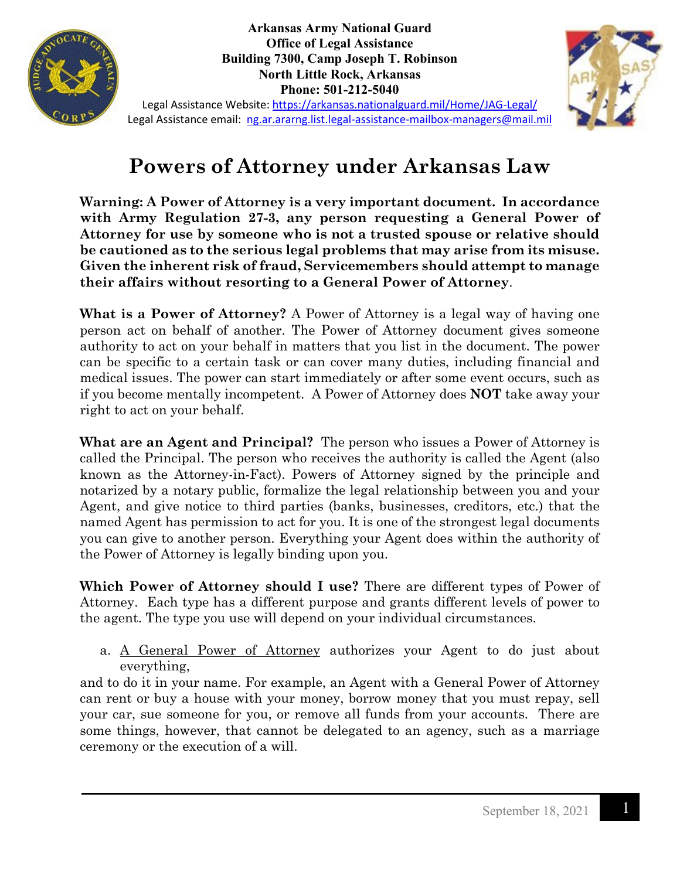

**Arkansas Army National Guard Office of Legal Assistance Building 7300, Camp Joseph T. Robinson North Little Rock, Arkansas Phone: 501-212-5040**



Legal Assistance Website:<https://arkansas.nationalguard.mil/Home/JAG-Legal/> Legal Assistance email: [ng.ar.ararng.list.legal-assistance-mailbox-managers@mail.mil](mailto:ng.ar.ararng.list.legal-assistance-mailbox-managers@mail.mil)

## **Powers of Attorney under Arkansas Law**

**Warning: A Power of Attorney is a very important document. In accordance with Army Regulation 27-3, any person requesting a General Power of Attorney for use by someone who is not a trusted spouse or relative should be cautioned as to the serious legal problems that may arise from its misuse. Given the inherent risk of fraud, Servicemembers should attempt to manage their affairs without resorting to a General Power of Attorney**.

**What is a Power of Attorney?** A Power of Attorney is a legal way of having one person act on behalf of another. The Power of Attorney document gives someone authority to act on your behalf in matters that you list in the document. The power can be specific to a certain task or can cover many duties, including financial and medical issues. The power can start immediately or after some event occurs, such as if you become mentally incompetent. A Power of Attorney does **NOT** take away your right to act on your behalf.

**What are an Agent and Principal?** The person who issues a Power of Attorney is called the Principal. The person who receives the authority is called the Agent (also known as the Attorney-in-Fact). Powers of Attorney signed by the principle and notarized by a notary public, formalize the legal relationship between you and your Agent, and give notice to third parties (banks, businesses, creditors, etc.) that the named Agent has permission to act for you. It is one of the strongest legal documents you can give to another person. Everything your Agent does within the authority of the Power of Attorney is legally binding upon you.

**Which Power of Attorney should I use?** There are different types of Power of Attorney. Each type has a different purpose and grants different levels of power to the agent. The type you use will depend on your individual circumstances.

a. <u>A General Power of Attorney</u> authorizes your Agent to do just about everything,

and to do it in your name. For example, an Agent with a General Power of Attorney can rent or buy a house with your money, borrow money that you must repay, sell your car, sue someone for you, or remove all funds from your accounts. There are some things, however, that cannot be delegated to an agency, such as a marriage ceremony or the execution of a will.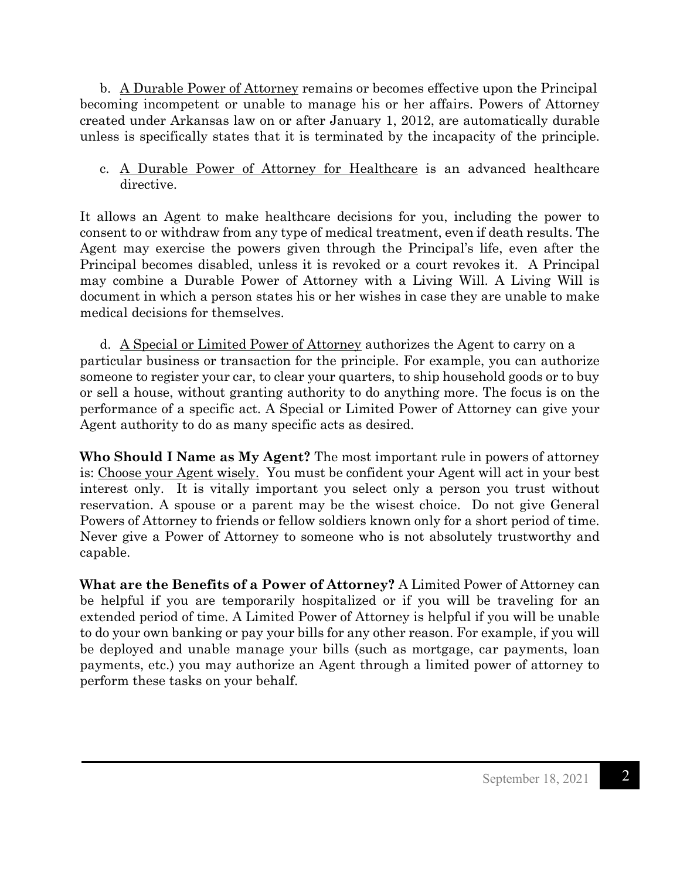b. A Durable Power of Attorney remains or becomes effective upon the Principal becoming incompetent or unable to manage his or her affairs. Powers of Attorney created under Arkansas law on or after January 1, 2012, are automatically durable unless is specifically states that it is terminated by the incapacity of the principle.

c. A Durable Power of Attorney for Healthcare is an advanced healthcare directive.

It allows an Agent to make healthcare decisions for you, including the power to consent to or withdraw from any type of medical treatment, even if death results. The Agent may exercise the powers given through the Principal's life, even after the Principal becomes disabled, unless it is revoked or a court revokes it. A Principal may combine a Durable Power of Attorney with a Living Will. A Living Will is document in which a person states his or her wishes in case they are unable to make medical decisions for themselves.

d. A Special or Limited Power of Attorney authorizes the Agent to carry on a particular business or transaction for the principle. For example, you can authorize someone to register your car, to clear your quarters, to ship household goods or to buy or sell a house, without granting authority to do anything more. The focus is on the performance of a specific act. A Special or Limited Power of Attorney can give your Agent authority to do as many specific acts as desired.

**Who Should I Name as My Agent?** The most important rule in powers of attorney is: Choose your Agent wisely. You must be confident your Agent will act in your best interest only. It is vitally important you select only a person you trust without reservation. A spouse or a parent may be the wisest choice. Do not give General Powers of Attorney to friends or fellow soldiers known only for a short period of time. Never give a Power of Attorney to someone who is not absolutely trustworthy and capable.

**What are the Benefits of a Power of Attorney?** A Limited Power of Attorney can be helpful if you are temporarily hospitalized or if you will be traveling for an extended period of time. A Limited Power of Attorney is helpful if you will be unable to do your own banking or pay your bills for any other reason. For example, if you will be deployed and unable manage your bills (such as mortgage, car payments, loan payments, etc.) you may authorize an Agent through a limited power of attorney to perform these tasks on your behalf.